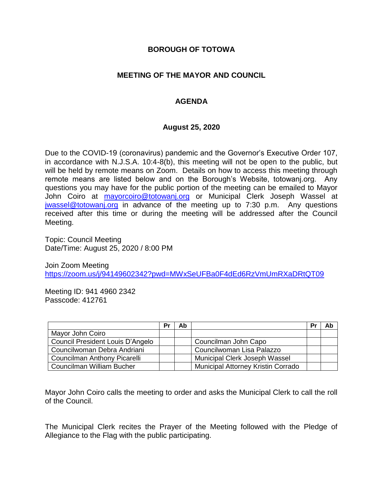### **BOROUGH OF TOTOWA**

## **MEETING OF THE MAYOR AND COUNCIL**

## **AGENDA**

#### **August 25, 2020**

Due to the COVID-19 (coronavirus) pandemic and the Governor's Executive Order 107, in accordance with N.J.S.A. 10:4-8(b), this meeting will not be open to the public, but will be held by remote means on Zoom. Details on how to access this meeting through remote means are listed below and on the Borough's Website, totowanj.org. Any questions you may have for the public portion of the meeting can be emailed to Mayor John Coiro at [mayorcoiro@totowanj.org](mailto:mayorcoiro@totowanj.org) or Municipal Clerk Joseph Wassel at [jwassel@totowanj.org](mailto:jwassel@totowanj.org) in advance of the meeting up to 7:30 p.m. Any questions received after this time or during the meeting will be addressed after the Council Meeting.

Topic: Council Meeting Date/Time: August 25, 2020 / 8:00 PM

Join Zoom Meeting <https://zoom.us/j/94149602342?pwd=MWxSeUFBa0F4dEd6RzVmUmRXaDRtQT09>

Meeting ID: 941 4960 2342 Passcode: 412761

|                                  | Pr | Ab |                                    | Pr | Ab |
|----------------------------------|----|----|------------------------------------|----|----|
| Mayor John Coiro                 |    |    |                                    |    |    |
| Council President Louis D'Angelo |    |    | Councilman John Capo               |    |    |
| Councilwoman Debra Andriani      |    |    | Councilwoman Lisa Palazzo          |    |    |
| Councilman Anthony Picarelli     |    |    | Municipal Clerk Joseph Wassel      |    |    |
| Councilman William Bucher        |    |    | Municipal Attorney Kristin Corrado |    |    |

Mayor John Coiro calls the meeting to order and asks the Municipal Clerk to call the roll of the Council.

The Municipal Clerk recites the Prayer of the Meeting followed with the Pledge of Allegiance to the Flag with the public participating.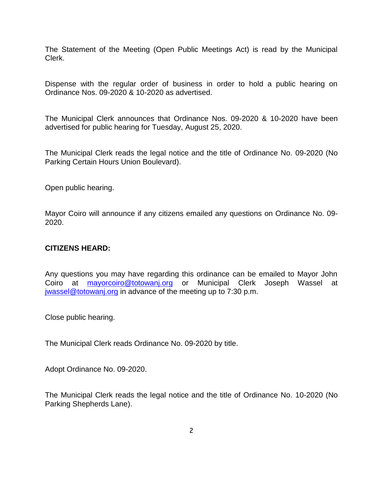The Statement of the Meeting (Open Public Meetings Act) is read by the Municipal Clerk.

Dispense with the regular order of business in order to hold a public hearing on Ordinance Nos. 09-2020 & 10-2020 as advertised.

The Municipal Clerk announces that Ordinance Nos. 09-2020 & 10-2020 have been advertised for public hearing for Tuesday, August 25, 2020.

The Municipal Clerk reads the legal notice and the title of Ordinance No. 09-2020 (No Parking Certain Hours Union Boulevard).

Open public hearing.

Mayor Coiro will announce if any citizens emailed any questions on Ordinance No. 09- 2020.

### **CITIZENS HEARD:**

Any questions you may have regarding this ordinance can be emailed to Mayor John Coiro at [mayorcoiro@totowanj.org](mailto:mayorcoiro@totowanj.org) or Municipal Clerk Joseph Wassel at [jwassel@totowanj.org](mailto:jwassel@totowanj.org) in advance of the meeting up to 7:30 p.m.

Close public hearing.

The Municipal Clerk reads Ordinance No. 09-2020 by title.

Adopt Ordinance No. 09-2020.

The Municipal Clerk reads the legal notice and the title of Ordinance No. 10-2020 (No Parking Shepherds Lane).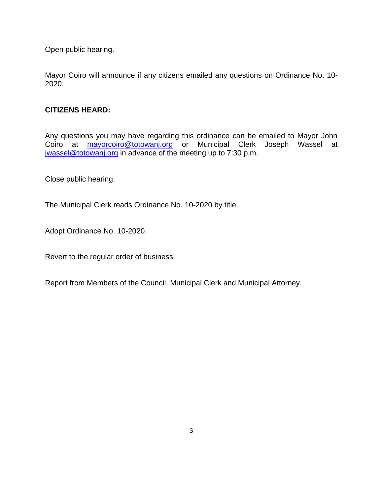Open public hearing.

Mayor Coiro will announce if any citizens emailed any questions on Ordinance No. 10- 2020.

## **CITIZENS HEARD:**

Any questions you may have regarding this ordinance can be emailed to Mayor John Coiro at **[mayorcoiro@totowanj.org](mailto:mayorcoiro@totowanj.org)** or Municipal Clerk Joseph Wassel at [jwassel@totowanj.org](mailto:jwassel@totowanj.org) in advance of the meeting up to 7:30 p.m.

Close public hearing.

The Municipal Clerk reads Ordinance No. 10-2020 by title.

Adopt Ordinance No. 10-2020.

Revert to the regular order of business.

Report from Members of the Council, Municipal Clerk and Municipal Attorney.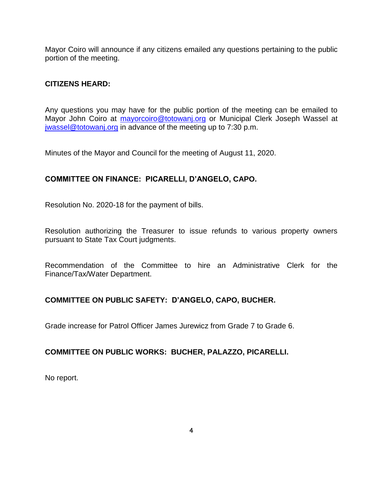Mayor Coiro will announce if any citizens emailed any questions pertaining to the public portion of the meeting.

#### **CITIZENS HEARD:**

Any questions you may have for the public portion of the meeting can be emailed to Mayor John Coiro at [mayorcoiro@totowanj.org](mailto:mayorcoiro@totowanj.org) or Municipal Clerk Joseph Wassel at [jwassel@totowanj.org](mailto:jwassel@totowanj.org) in advance of the meeting up to 7:30 p.m.

Minutes of the Mayor and Council for the meeting of August 11, 2020.

## **COMMITTEE ON FINANCE: PICARELLI, D'ANGELO, CAPO.**

Resolution No. 2020-18 for the payment of bills.

Resolution authorizing the Treasurer to issue refunds to various property owners pursuant to State Tax Court judgments.

Recommendation of the Committee to hire an Administrative Clerk for the Finance/Tax/Water Department.

#### **COMMITTEE ON PUBLIC SAFETY: D'ANGELO, CAPO, BUCHER.**

Grade increase for Patrol Officer James Jurewicz from Grade 7 to Grade 6.

#### **COMMITTEE ON PUBLIC WORKS: BUCHER, PALAZZO, PICARELLI.**

No report.